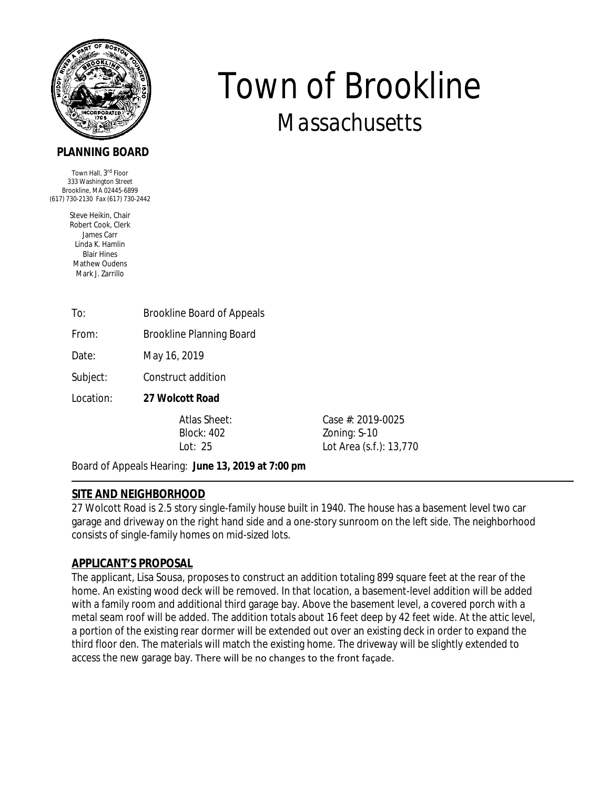

# **PLANNING BOARD**

Town Hall, 3<sup>rd</sup> Floor 333 Washington Street Brookline, MA 02445-6899 (617) 730-2130 Fax (617) 730-2442

> Steve Heikin, Chair Robert Cook, Clerk James Carr Linda K. Hamlin Blair Hines Mathew Oudens Mark J. Zarrillo

| To: | <b>Brookline Board of Appeals</b> |
|-----|-----------------------------------|
|     |                                   |

From: Brookline Planning Board

Date: May 16, 2019

Subject: Construct addition

Location: **27 Wolcott Road**

Atlas Sheet: Case #: 2019-0025 Block: 402 Zoning: S-10 Lot: 25 Lot Area (s.f.): 13,770

*Town of Brookline*

*Massachusetts*

Board of Appeals Hearing: **June 13, 2019 at 7:00 pm** 

# **SITE AND NEIGHBORHOOD**

27 Wolcott Road is 2.5 story single-family house built in 1940. The house has a basement level two car garage and driveway on the right hand side and a one-story sunroom on the left side. The neighborhood consists of single-family homes on mid-sized lots.

# **APPLICANT'S PROPOSAL**

The applicant, Lisa Sousa, proposes to construct an addition totaling 899 square feet at the rear of the home. An existing wood deck will be removed. In that location, a basement-level addition will be added with a family room and additional third garage bay. Above the basement level, a covered porch with a metal seam roof will be added. The addition totals about 16 feet deep by 42 feet wide. At the attic level, a portion of the existing rear dormer will be extended out over an existing deck in order to expand the third floor den. The materials will match the existing home. The driveway will be slightly extended to access the new garage bay. There will be no changes to the front façade.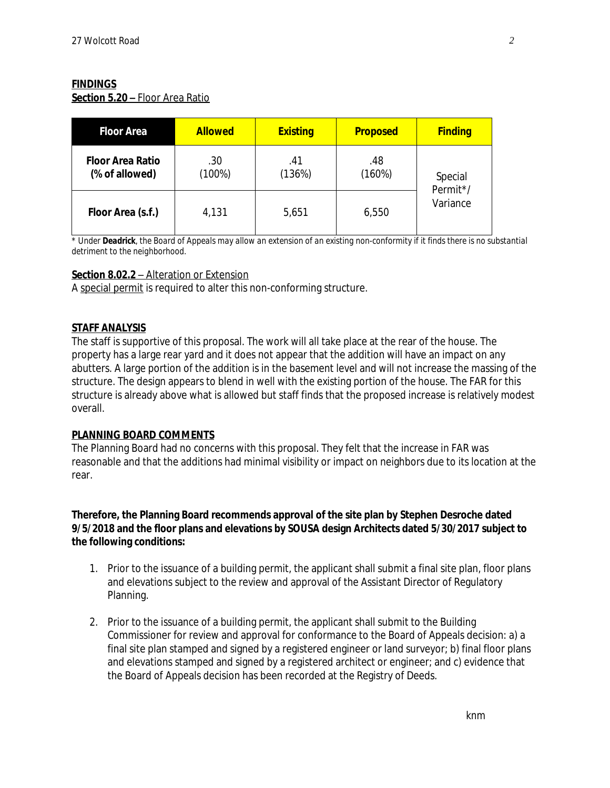### **FINDINGS**

**Section 5.20 –** Floor Area Ratio

| <b>Floor Area</b>                         | <b>Allowed</b>   | <b>Existing</b> | <b>Proposed</b> | <b>Finding</b>                  |
|-------------------------------------------|------------------|-----------------|-----------------|---------------------------------|
| <b>Floor Area Ratio</b><br>(% of allowed) | .30<br>$(100\%)$ | .41<br>(136%)   | .48<br>(160%)   | Special<br>Permit*/<br>Variance |
| Floor Area (s.f.)                         | 4,131            | 5,651           | 6,550           |                                 |

\* *Under Deadrick, the Board of Appeals may allow an extension of an existing non-conformity if it finds there is no substantial detriment to the neighborhood.* 

### **Section 8.02.2** – Alteration or Extension

A special permit is required to alter this non-conforming structure.

### **STAFF ANALYSIS**

The staff is supportive of this proposal. The work will all take place at the rear of the house. The property has a large rear yard and it does not appear that the addition will have an impact on any abutters. A large portion of the addition is in the basement level and will not increase the massing of the structure. The design appears to blend in well with the existing portion of the house. The FAR for this structure is already above what is allowed but staff finds that the proposed increase is relatively modest overall.

#### **PLANNING BOARD COMMENTS**

The Planning Board had no concerns with this proposal. They felt that the increase in FAR was reasonable and that the additions had minimal visibility or impact on neighbors due to its location at the rear.

### **Therefore, the Planning Board recommends approval of the site plan by Stephen Desroche dated 9/5/2018 and the floor plans and elevations by SOUSA design Architects dated 5/30/2017 subject to the following conditions:**

- 1. Prior to the issuance of a building permit, the applicant shall submit a final site plan, floor plans and elevations subject to the review and approval of the Assistant Director of Regulatory Planning.
- 2. Prior to the issuance of a building permit, the applicant shall submit to the Building Commissioner for review and approval for conformance to the Board of Appeals decision: a) a final site plan stamped and signed by a registered engineer or land surveyor; b) final floor plans and elevations stamped and signed by a registered architect or engineer; and c) evidence that the Board of Appeals decision has been recorded at the Registry of Deeds.